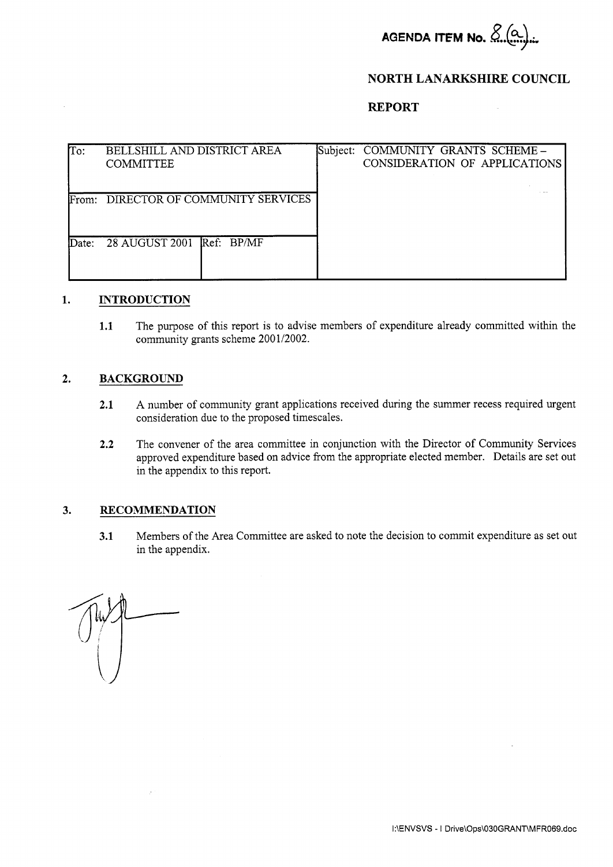

### **NORTH LANARKSHIRE COUNCIL**

## **REPORT**

| To:   | BELLSHILL AND DISTRICT AREA<br><b>COMMITTEE</b> | Subject: COMMUNITY GRANTS SCHEME -<br>CONSIDERATION OF APPLICATIONS |
|-------|-------------------------------------------------|---------------------------------------------------------------------|
| From: | DIRECTOR OF COMMUNITY SERVICES                  |                                                                     |
| Date: | 28 AUGUST 2001 Ref: BP/MF                       |                                                                     |

#### $1.$ **INTRODUCTION**

**1.1** The purpose of this report is to advise members of expenditure already committed within the community grants scheme 2001/2002.

#### **2. BACKGROUND**

- **2.1** A number of community grant applications received during the summer recess required urgent consideration due to the proposed timescales.
- 2.2 The convener of the area committee in conjunction with the Director of Community Services approved expenditure based on advice from the appropriate elected member. Details are set out in the appendix to this report.

#### **3. RECOMMENDATION**

**3.1** Members of the Area Committee are asked to note the decision to commit expenditure as set out in the appendix.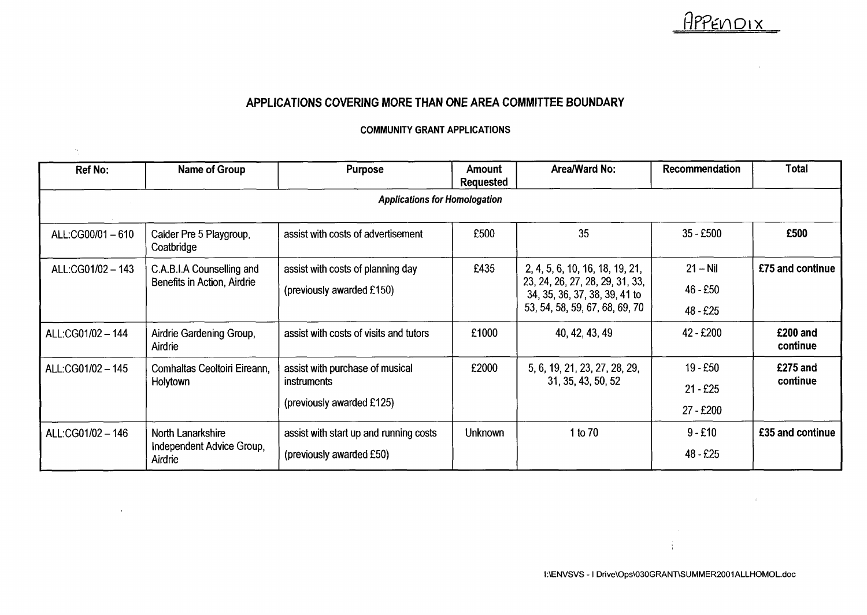# APPENDIX

 $\mathcal{L}_{\mathcal{L}}$ 

 $\sim$   $\pm$   $\sim$ 

# **APPLICATIONS COVERING MORE THAN ONE AREA COMMITTEE BOUNDARY**

#### **COMMUNITY GRANT APPLICATIONS**

 $\gamma_{\rm s}$ 

| Ref No:                              | Name of Group                                             | <b>Purpose</b>                                                              | Amount<br><b>Requested</b> | Area/Ward No:                                                                                                                         | Recommendation                        | Total                |  |  |  |  |
|--------------------------------------|-----------------------------------------------------------|-----------------------------------------------------------------------------|----------------------------|---------------------------------------------------------------------------------------------------------------------------------------|---------------------------------------|----------------------|--|--|--|--|
| <b>Applications for Homologation</b> |                                                           |                                                                             |                            |                                                                                                                                       |                                       |                      |  |  |  |  |
| ALL:CG00/01-610                      | Calder Pre 5 Playgroup,<br>Coatbridge                     | assist with costs of advertisement                                          | £500                       | 35                                                                                                                                    | $35 - £500$                           | £500                 |  |  |  |  |
| ALL:CG01/02 - 143                    | C.A.B.I.A Counselling and<br>Benefits in Action, Airdrie  | assist with costs of planning day<br>(previously awarded £150)              | £435                       | 2, 4, 5, 6, 10, 16, 18, 19, 21,<br>23, 24, 26, 27, 28, 29, 31, 33,<br>34, 35, 36, 37, 38, 39, 41 to<br>53, 54, 58, 59, 67, 68, 69, 70 | $21 - Nil$<br>$46 - £50$<br>48 - £25  | £75 and continue     |  |  |  |  |
| ALL:CG01/02 - 144                    | Airdrie Gardening Group,<br>Airdrie                       | assist with costs of visits and tutors                                      | £1000                      | 40, 42, 43, 49                                                                                                                        | 42 - £200                             | £200 and<br>continue |  |  |  |  |
| ALL:CG01/02 - 145                    | Comhaltas Ceoltoiri Eireann,<br>Holytown                  | assist with purchase of musical<br>instruments<br>(previously awarded £125) | £2000                      | 5, 6, 19, 21, 23, 27, 28, 29,<br>31, 35, 43, 50, 52                                                                                   | $19 - £50$<br>$21 - £25$<br>27 - £200 | £275 and<br>continue |  |  |  |  |
| ALL:CG01/02 - 146                    | North Lanarkshire<br>Independent Advice Group,<br>Airdrie | assist with start up and running costs<br>(previously awarded £50)          | Unknown                    | 1 to 70                                                                                                                               | $9 - £10$<br>$48 - £25$               | £35 and continue     |  |  |  |  |

 $\mathbf{A}$